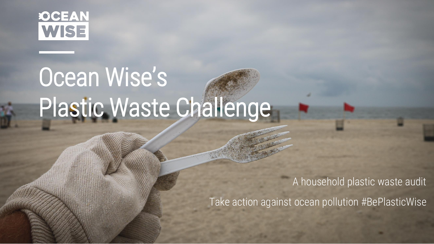

# Ocean Wise's Plastic Waste Challenge

A household plastic waste audit

Take action against ocean pollution #BePlasticWise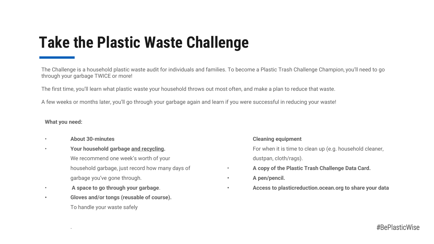#### **Take the Plastic Waste Challenge**

The Challenge is a household plastic waste audit for individuals and families. To become a Plastic Trash Challenge Champion, you'll need to go through your garbage TWICE or more!

The first time, you'll learn what plastic waste your household throws out most often, and make a plan to reduce that waste.

A few weeks or months later, you'll go through your garbage again and learn if you were successful in reducing your waste!

#### **What you need:**

• **About 30-minutes**

.

- **Your household garbage and recycling.** We recommend one week's worth of your household garbage, just record how many days of garbage you've gone through.
- **A space to go through your garbage**.
- **Gloves and/or tongs (reusable of course).** To handle your waste safely

#### **Cleaning equipment**

- For when it is time to clean up (e.g. household cleaner,
- dustpan, cloth/rags).
- **A copy of the Plastic Trash Challenge Data Card.**
- **• A pen/pencil.**
- **• Access to plasticreduction.ocean.org to share your data**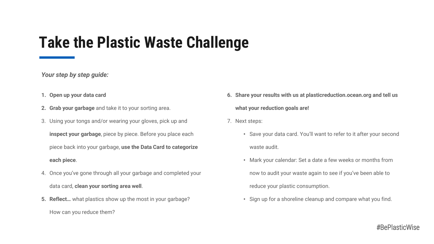#### **Take the Plastic Waste Challenge**

#### *Your step by step guide:*

- **1. Open up your data card**
- **2. Grab your garbage** and take it to your sorting area.
- 3. Using your tongs and/or wearing your gloves, pick up and **inspect your garbage**, piece by piece. Before you place each piece back into your garbage, **use the Data Card to categorize each piece**.
- 4. Once you've gone through all your garbage and completed your data card, **clean your sorting area well**.
- **5. Reflect…** what plastics show up the most in your garbage? How can you reduce them?
- **6. Share your results with us at plasticreduction.ocean.org and tell us what your reduction goals are!**
- 7. Next steps:
	- Save your data card. You'll want to refer to it after your second waste audit.
	- Mark your calendar: Set a date a few weeks or months from now to audit your waste again to see if you've been able to reduce your plastic consumption.
	- Sign up for a shoreline cleanup and compare what you find.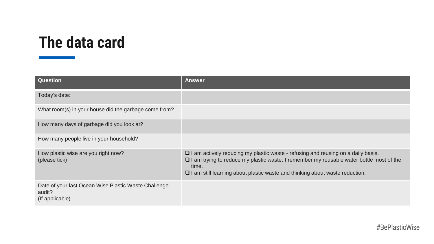| <b>Question</b>                                                                   | <b>Answer</b>                                                                                                                                                                                                                                                                            |
|-----------------------------------------------------------------------------------|------------------------------------------------------------------------------------------------------------------------------------------------------------------------------------------------------------------------------------------------------------------------------------------|
| Today's date:                                                                     |                                                                                                                                                                                                                                                                                          |
| What room(s) in your house did the garbage come from?                             |                                                                                                                                                                                                                                                                                          |
| How many days of garbage did you look at?                                         |                                                                                                                                                                                                                                                                                          |
| How many people live in your household?                                           |                                                                                                                                                                                                                                                                                          |
| How plastic wise are you right now?<br>(please tick)                              | $\Box$ I am actively reducing my plastic waste - refusing and reusing on a daily basis.<br>$\Box$ I am trying to reduce my plastic waste. I remember my reusable water bottle most of the<br>time.<br>$\Box$ I am still learning about plastic waste and thinking about waste reduction. |
| Date of your last Ocean Wise Plastic Waste Challenge<br>audit?<br>(If applicable) |                                                                                                                                                                                                                                                                                          |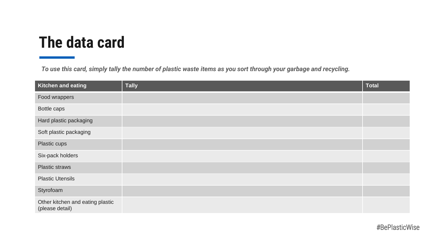| <b>Kitchen and eating</b>                           | <b>Tally</b> | <b>Total</b> |
|-----------------------------------------------------|--------------|--------------|
| Food wrappers                                       |              |              |
| Bottle caps                                         |              |              |
| Hard plastic packaging                              |              |              |
| Soft plastic packaging                              |              |              |
| Plastic cups                                        |              |              |
| Six-pack holders                                    |              |              |
| <b>Plastic straws</b>                               |              |              |
| <b>Plastic Utensils</b>                             |              |              |
| Styrofoam                                           |              |              |
| Other kitchen and eating plastic<br>(please detail) |              |              |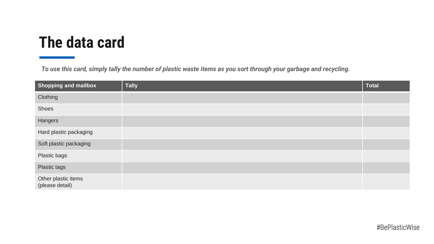| <b>Shopping and mailbox</b>            | <b>Tally</b> | <b>Total</b> |
|----------------------------------------|--------------|--------------|
| Clothing                               |              |              |
| Shoes                                  |              |              |
| Hangers                                |              |              |
| Hard plastic packaging                 |              |              |
| Soft plastic packaging                 |              |              |
| Plastic bags                           |              |              |
| <b>Plastic tags</b>                    |              |              |
| Other plastic items<br>(please detail) |              |              |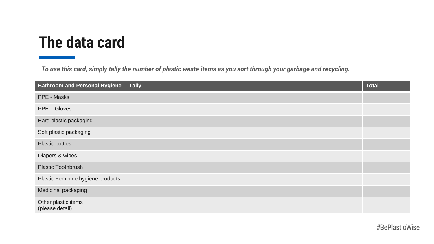| <b>Bathroom and Personal Hygiene</b>   | <b>Tally</b> | <b>Total</b> |
|----------------------------------------|--------------|--------------|
| PPE - Masks                            |              |              |
| PPE – Gloves                           |              |              |
| Hard plastic packaging                 |              |              |
| Soft plastic packaging                 |              |              |
| <b>Plastic bottles</b>                 |              |              |
| Diapers & wipes                        |              |              |
| <b>Plastic Toothbrush</b>              |              |              |
| Plastic Feminine hygiene products      |              |              |
| Medicinal packaging                    |              |              |
| Other plastic items<br>(please detail) |              |              |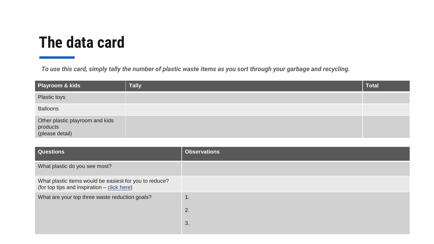| Playroom & kids                                                | <b>Tally</b> | <b>Total</b> |
|----------------------------------------------------------------|--------------|--------------|
| Plastic toys                                                   |              |              |
| <b>Balloons</b>                                                |              |              |
| Other plastic playroom and kids<br>products<br>(please detail) |              |              |

| Questions                                                                                             | <b>Observations</b> |
|-------------------------------------------------------------------------------------------------------|---------------------|
| What plastic do you see most?                                                                         |                     |
| What plastic items would be easiest for you to reduce?<br>(for top tips and inspiration – click here) |                     |
| What are your top three waste reduction goals?                                                        | 1.                  |
|                                                                                                       | 2.                  |
|                                                                                                       | 3.                  |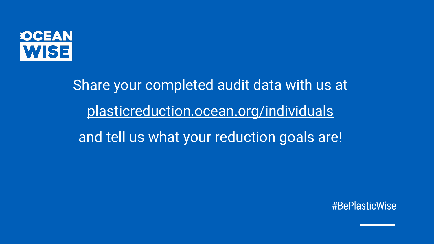

Share your completed audit data with us at [plasticreduction.ocean.org/individuals](https://plasticreduction.ocean.org/individuals/) and tell us what your reduction goals are!

#BePlasticWise